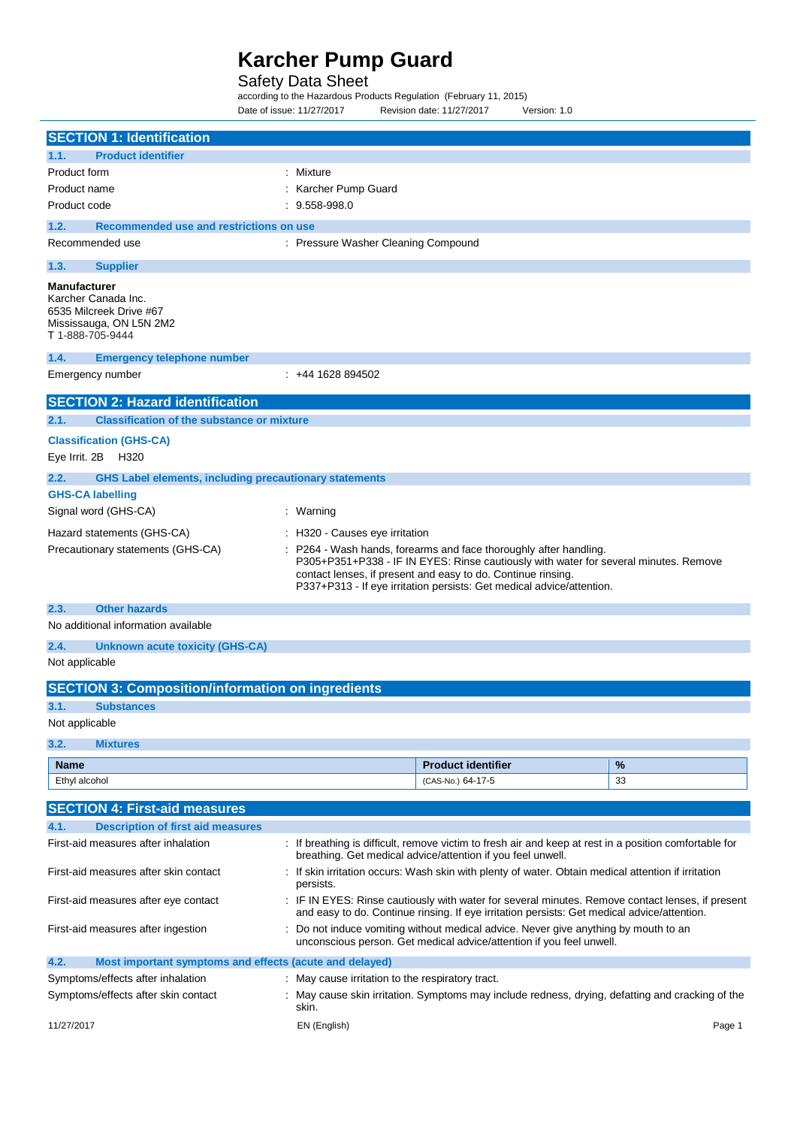### Safety Data Sheet

according to the Hazardous Products Regulation (February 11, 2015) Date of issue: 11/27/2017 Revision date: 11/27/2017 Version: 1.0

|                                                                                                                                                                                                                          | <b>SECTION 1: Identification</b>                                                                                                                                                                                                                                                                                                      |                                                |                                                                                                        |        |  |  |
|--------------------------------------------------------------------------------------------------------------------------------------------------------------------------------------------------------------------------|---------------------------------------------------------------------------------------------------------------------------------------------------------------------------------------------------------------------------------------------------------------------------------------------------------------------------------------|------------------------------------------------|--------------------------------------------------------------------------------------------------------|--------|--|--|
| 1.1.                                                                                                                                                                                                                     | <b>Product identifier</b>                                                                                                                                                                                                                                                                                                             |                                                |                                                                                                        |        |  |  |
| Product form                                                                                                                                                                                                             |                                                                                                                                                                                                                                                                                                                                       | Mixture                                        |                                                                                                        |        |  |  |
| Product name                                                                                                                                                                                                             |                                                                                                                                                                                                                                                                                                                                       | Karcher Pump Guard                             |                                                                                                        |        |  |  |
|                                                                                                                                                                                                                          | Product code<br>9.558-998.0                                                                                                                                                                                                                                                                                                           |                                                |                                                                                                        |        |  |  |
| 1.2.                                                                                                                                                                                                                     | Recommended use and restrictions on use                                                                                                                                                                                                                                                                                               |                                                |                                                                                                        |        |  |  |
| Recommended use                                                                                                                                                                                                          |                                                                                                                                                                                                                                                                                                                                       | : Pressure Washer Cleaning Compound            |                                                                                                        |        |  |  |
| 1.3.                                                                                                                                                                                                                     | <b>Supplier</b>                                                                                                                                                                                                                                                                                                                       |                                                |                                                                                                        |        |  |  |
| <b>Manufacturer</b><br>T 1-888-705-9444                                                                                                                                                                                  | Karcher Canada Inc.<br>6535 Milcreek Drive #67<br>Mississauga, ON L5N 2M2                                                                                                                                                                                                                                                             |                                                |                                                                                                        |        |  |  |
| 1.4.                                                                                                                                                                                                                     | <b>Emergency telephone number</b>                                                                                                                                                                                                                                                                                                     |                                                |                                                                                                        |        |  |  |
| Emergency number                                                                                                                                                                                                         |                                                                                                                                                                                                                                                                                                                                       | $: +441628894502$                              |                                                                                                        |        |  |  |
|                                                                                                                                                                                                                          | <b>SECTION 2: Hazard identification</b>                                                                                                                                                                                                                                                                                               |                                                |                                                                                                        |        |  |  |
| 2.1.                                                                                                                                                                                                                     | <b>Classification of the substance or mixture</b>                                                                                                                                                                                                                                                                                     |                                                |                                                                                                        |        |  |  |
|                                                                                                                                                                                                                          | <b>Classification (GHS-CA)</b><br>Eye Irrit. 2B H320                                                                                                                                                                                                                                                                                  |                                                |                                                                                                        |        |  |  |
| 2.2.                                                                                                                                                                                                                     | <b>GHS Label elements, including precautionary statements</b>                                                                                                                                                                                                                                                                         |                                                |                                                                                                        |        |  |  |
| <b>GHS-CA labelling</b>                                                                                                                                                                                                  |                                                                                                                                                                                                                                                                                                                                       |                                                |                                                                                                        |        |  |  |
|                                                                                                                                                                                                                          | Signal word (GHS-CA)                                                                                                                                                                                                                                                                                                                  | : Warning                                      |                                                                                                        |        |  |  |
|                                                                                                                                                                                                                          | Hazard statements (GHS-CA)                                                                                                                                                                                                                                                                                                            | H320 - Causes eye irritation                   |                                                                                                        |        |  |  |
|                                                                                                                                                                                                                          | Precautionary statements (GHS-CA)<br>P264 - Wash hands, forearms and face thoroughly after handling.<br>P305+P351+P338 - IF IN EYES: Rinse cautiously with water for several minutes. Remove<br>contact lenses, if present and easy to do. Continue rinsing.<br>P337+P313 - If eye irritation persists: Get medical advice/attention. |                                                |                                                                                                        |        |  |  |
| 2.3.                                                                                                                                                                                                                     | <b>Other hazards</b>                                                                                                                                                                                                                                                                                                                  |                                                |                                                                                                        |        |  |  |
|                                                                                                                                                                                                                          | No additional information available                                                                                                                                                                                                                                                                                                   |                                                |                                                                                                        |        |  |  |
| 2.4.                                                                                                                                                                                                                     | Unknown acute toxicity (GHS-CA)                                                                                                                                                                                                                                                                                                       |                                                |                                                                                                        |        |  |  |
| Not applicable                                                                                                                                                                                                           |                                                                                                                                                                                                                                                                                                                                       |                                                |                                                                                                        |        |  |  |
|                                                                                                                                                                                                                          | <b>SECTION 3: Composition/information on ingredients</b>                                                                                                                                                                                                                                                                              |                                                |                                                                                                        |        |  |  |
| 3.1.                                                                                                                                                                                                                     | <b>Substances</b>                                                                                                                                                                                                                                                                                                                     |                                                |                                                                                                        |        |  |  |
| Not applicable                                                                                                                                                                                                           |                                                                                                                                                                                                                                                                                                                                       |                                                |                                                                                                        |        |  |  |
| 3.2.                                                                                                                                                                                                                     | <b>Mixtures</b>                                                                                                                                                                                                                                                                                                                       |                                                |                                                                                                        |        |  |  |
| <b>Name</b>                                                                                                                                                                                                              |                                                                                                                                                                                                                                                                                                                                       |                                                | <b>Product identifier</b>                                                                              | %      |  |  |
| Ethyl alcohol                                                                                                                                                                                                            |                                                                                                                                                                                                                                                                                                                                       |                                                | (CAS-No.) 64-17-5                                                                                      | 33     |  |  |
|                                                                                                                                                                                                                          | <b>SECTION 4: First-aid measures</b>                                                                                                                                                                                                                                                                                                  |                                                |                                                                                                        |        |  |  |
| 4.1.                                                                                                                                                                                                                     |                                                                                                                                                                                                                                                                                                                                       |                                                |                                                                                                        |        |  |  |
|                                                                                                                                                                                                                          | <b>Description of first aid measures</b><br>First-aid measures after inhalation                                                                                                                                                                                                                                                       |                                                | : If breathing is difficult, remove victim to fresh air and keep at rest in a position comfortable for |        |  |  |
| breathing. Get medical advice/attention if you feel unwell.<br>First-aid measures after skin contact<br>: If skin irritation occurs: Wash skin with plenty of water. Obtain medical attention if irritation<br>persists. |                                                                                                                                                                                                                                                                                                                                       |                                                |                                                                                                        |        |  |  |
|                                                                                                                                                                                                                          | First-aid measures after eye contact<br>: IF IN EYES: Rinse cautiously with water for several minutes. Remove contact lenses, if present<br>and easy to do. Continue rinsing. If eye irritation persists: Get medical advice/attention.                                                                                               |                                                |                                                                                                        |        |  |  |
|                                                                                                                                                                                                                          | Do not induce vomiting without medical advice. Never give anything by mouth to an<br>First-aid measures after ingestion<br>unconscious person. Get medical advice/attention if you feel unwell.                                                                                                                                       |                                                |                                                                                                        |        |  |  |
| 4.2.                                                                                                                                                                                                                     | Most important symptoms and effects (acute and delayed)                                                                                                                                                                                                                                                                               |                                                |                                                                                                        |        |  |  |
|                                                                                                                                                                                                                          | Symptoms/effects after inhalation                                                                                                                                                                                                                                                                                                     | May cause irritation to the respiratory tract. |                                                                                                        |        |  |  |
|                                                                                                                                                                                                                          | Symptoms/effects after skin contact<br>May cause skin irritation. Symptoms may include redness, drying, defatting and cracking of the<br>skin.                                                                                                                                                                                        |                                                |                                                                                                        |        |  |  |
| 11/27/2017                                                                                                                                                                                                               |                                                                                                                                                                                                                                                                                                                                       | EN (English)                                   |                                                                                                        | Page 1 |  |  |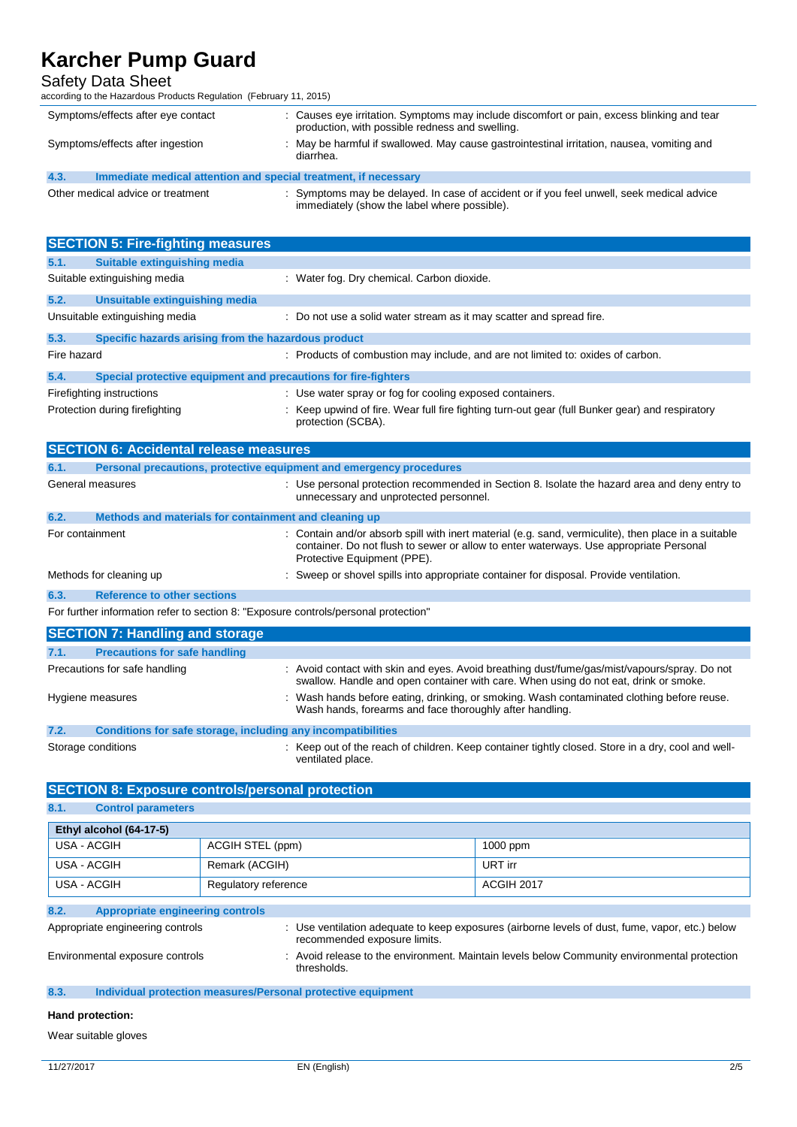## Safety Data Sheet

according to the Hazardous Products Regulation (February 11, 2015)

| Symptoms/effects after eye contact                                      | : Causes eye irritation. Symptoms may include discomfort or pain, excess blinking and tear<br>production, with possible redness and swelling. |  |
|-------------------------------------------------------------------------|-----------------------------------------------------------------------------------------------------------------------------------------------|--|
| Symptoms/effects after ingestion                                        | : May be harmful if swallowed. May cause gastrointestinal irritation, nausea, vomiting and<br>diarrhea.                                       |  |
| 4.3.<br>Immediate medical attention and special treatment, if necessary |                                                                                                                                               |  |
|                                                                         |                                                                                                                                               |  |

| Other medical advice or treatment | : Symptoms may be delayed. In case of accident or if you feel unwell, seek medical advice<br>immediately (show the label where possible). |
|-----------------------------------|-------------------------------------------------------------------------------------------------------------------------------------------|
|                                   |                                                                                                                                           |

|                                | <b>SECTION 5: Fire-fighting measures</b>                       |                                                                                                                       |  |  |
|--------------------------------|----------------------------------------------------------------|-----------------------------------------------------------------------------------------------------------------------|--|--|
| 5.1.                           | Suitable extinguishing media                                   |                                                                                                                       |  |  |
|                                | Suitable extinguishing media                                   | : Water fog. Dry chemical. Carbon dioxide.                                                                            |  |  |
| 5.2.                           | Unsuitable extinguishing media                                 |                                                                                                                       |  |  |
|                                | Unsuitable extinguishing media                                 | : Do not use a solid water stream as it may scatter and spread fire.                                                  |  |  |
| 5.3.                           | Specific hazards arising from the hazardous product            |                                                                                                                       |  |  |
| Fire hazard                    |                                                                | : Products of combustion may include, and are not limited to: oxides of carbon.                                       |  |  |
| 5.4.                           | Special protective equipment and precautions for fire-fighters |                                                                                                                       |  |  |
|                                | Firefighting instructions                                      | : Use water spray or fog for cooling exposed containers.                                                              |  |  |
| Protection during firefighting |                                                                | : Keep upwind of fire. Wear full fire fighting turn-out gear (full Bunker gear) and respiratory<br>protection (SCBA). |  |  |

|                 | <b>SECTION 6: Accidental release measures</b>                                       |  |                                                                                                                                                                                                                               |  |
|-----------------|-------------------------------------------------------------------------------------|--|-------------------------------------------------------------------------------------------------------------------------------------------------------------------------------------------------------------------------------|--|
| 6.1.            | Personal precautions, protective equipment and emergency procedures                 |  |                                                                                                                                                                                                                               |  |
|                 | General measures                                                                    |  | : Use personal protection recommended in Section 8. Isolate the hazard area and deny entry to<br>unnecessary and unprotected personnel.                                                                                       |  |
| 6.2.            | Methods and materials for containment and cleaning up                               |  |                                                                                                                                                                                                                               |  |
| For containment |                                                                                     |  | : Contain and/or absorb spill with inert material (e.g. sand, vermiculite), then place in a suitable<br>container. Do not flush to sewer or allow to enter waterways. Use appropriate Personal<br>Protective Equipment (PPE). |  |
|                 | Methods for cleaning up                                                             |  | Sweep or shovel spills into appropriate container for disposal. Provide ventilation.                                                                                                                                          |  |
| 6.3.            | <b>Reference to other sections</b>                                                  |  |                                                                                                                                                                                                                               |  |
|                 | For further information refer to section 8: "Exposure controls/personal protection" |  |                                                                                                                                                                                                                               |  |
|                 | <b>SECTION 7: Handling and storage</b>                                              |  |                                                                                                                                                                                                                               |  |
| 7.1.            | <b>Precautions for safe handling</b>                                                |  |                                                                                                                                                                                                                               |  |
|                 | Precautions for safe handling                                                       |  | : Avoid contact with skin and eyes. Avoid breathing dust/fume/gas/mist/vapours/spray. Do not<br>swallow. Handle and open container with care. When using do not eat, drink or smoke.                                          |  |
|                 | Hygiene measures                                                                    |  | Wash hands before eating, drinking, or smoking. Wash contaminated clothing before reuse.<br>Wash hands, forearms and face thoroughly after handling.                                                                          |  |
| 7.2.            | Conditions for safe storage, including any incompatibilities                        |  |                                                                                                                                                                                                                               |  |

Storage conditions **Storage conditions** : Keep out of the reach of children. Keep container tightly closed. Store in a dry, cool and wellventilated place.

## **SECTION 8: Exposure controls/personal protection**

### **8.1. Control parameters**

| Ethyl alcohol (64-17-5)                                                                                                                                             |                  |                                                                                                           |          |  |  |
|---------------------------------------------------------------------------------------------------------------------------------------------------------------------|------------------|-----------------------------------------------------------------------------------------------------------|----------|--|--|
| USA - ACGIH                                                                                                                                                         | ACGIH STEL (ppm) |                                                                                                           | 1000 ppm |  |  |
| USA - ACGIH<br>Remark (ACGIH)                                                                                                                                       |                  |                                                                                                           | URT irr  |  |  |
| USA - ACGIH<br>Regulatory reference                                                                                                                                 |                  | ACGIH 2017                                                                                                |          |  |  |
| 8.2.<br>Appropriate engineering controls                                                                                                                            |                  |                                                                                                           |          |  |  |
| Appropriate engineering controls<br>: Use ventilation adequate to keep exposures (airborne levels of dust, fume, vapor, etc.) below<br>recommended exposure limits. |                  |                                                                                                           |          |  |  |
| Environmental exposure controls                                                                                                                                     |                  | Avoid release to the environment. Maintain levels below Community environmental protection<br>thresholds. |          |  |  |

### **8.3. Individual protection measures/Personal protective equipment**

### **Hand protection:**

Wear suitable gloves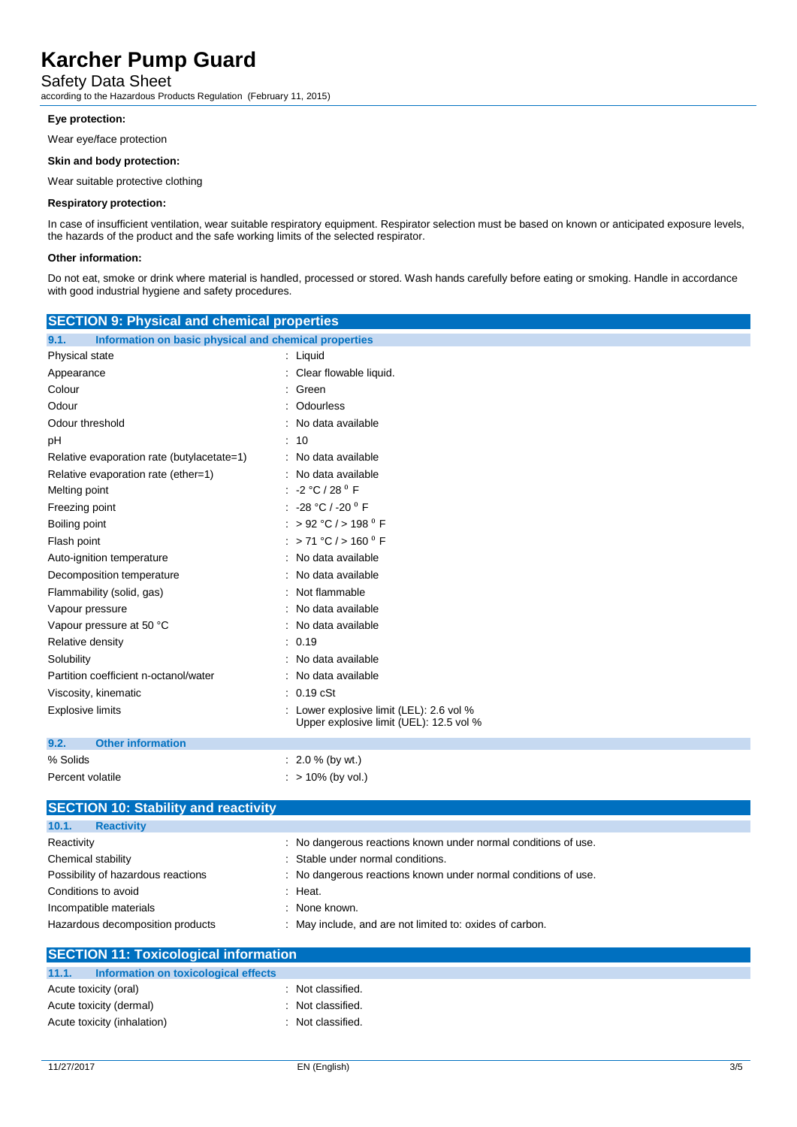### Safety Data Sheet

according to the Hazardous Products Regulation (February 11, 2015)

#### **Eye protection:**

Wear eye/face protection

#### **Skin and body protection:**

Wear suitable protective clothing

#### **Respiratory protection:**

In case of insufficient ventilation, wear suitable respiratory equipment. Respirator selection must be based on known or anticipated exposure levels, the hazards of the product and the safe working limits of the selected respirator.

#### **Other information:**

Do not eat, smoke or drink where material is handled, processed or stored. Wash hands carefully before eating or smoking. Handle in accordance with good industrial hygiene and safety procedures.

| <b>SECTION 9: Physical and chemical properties</b>            |                                                                                   |  |  |  |
|---------------------------------------------------------------|-----------------------------------------------------------------------------------|--|--|--|
| 9.1.<br>Information on basic physical and chemical properties |                                                                                   |  |  |  |
| Physical state                                                | : Liquid                                                                          |  |  |  |
| Appearance                                                    | Clear flowable liquid.                                                            |  |  |  |
| Colour                                                        | Green                                                                             |  |  |  |
| Odour                                                         | Odourless                                                                         |  |  |  |
| Odour threshold                                               | No data available                                                                 |  |  |  |
| pH                                                            | 10                                                                                |  |  |  |
| Relative evaporation rate (butylacetate=1)                    | No data available                                                                 |  |  |  |
| Relative evaporation rate (ether=1)                           | No data available                                                                 |  |  |  |
| Melting point                                                 | $-2 °C / 28 °F$                                                                   |  |  |  |
| Freezing point                                                | -28 °C / -20 °F                                                                   |  |  |  |
| Boiling point                                                 | : > 92 °C / > 198 $^{\circ}$ F                                                    |  |  |  |
| Flash point                                                   | : > 71 °C / > 160 $^{\circ}$ F                                                    |  |  |  |
| Auto-ignition temperature                                     | No data available                                                                 |  |  |  |
| Decomposition temperature                                     | No data available                                                                 |  |  |  |
| Flammability (solid, gas)                                     | Not flammable                                                                     |  |  |  |
| Vapour pressure                                               | No data available                                                                 |  |  |  |
| Vapour pressure at 50 °C                                      | No data available                                                                 |  |  |  |
| Relative density                                              | 0.19                                                                              |  |  |  |
| Solubility                                                    | No data available                                                                 |  |  |  |
| Partition coefficient n-octanol/water                         | No data available                                                                 |  |  |  |
| Viscosity, kinematic                                          | $: 0.19$ cSt                                                                      |  |  |  |
| <b>Explosive limits</b>                                       | Lower explosive limit (LEL): 2.6 vol %<br>Upper explosive limit (UEL): 12.5 vol % |  |  |  |
| <b>Other information</b><br>9.2.                              |                                                                                   |  |  |  |
| % Solids                                                      | $: 2.0 %$ (by wt.)                                                                |  |  |  |
| Percent volatile                                              | $:$ > 10% (by vol.)                                                               |  |  |  |
| <b>SECTION 10: Stability and reactivity</b>                   |                                                                                   |  |  |  |
| 10.1.<br><b>Reactivity</b>                                    |                                                                                   |  |  |  |
| Reactivity                                                    | : No dangerous reactions known under normal conditions of use.                    |  |  |  |
| Chemical stability                                            | Stable under normal conditions.                                                   |  |  |  |

| Conditions to avoid              | : Heat.                                                  |
|----------------------------------|----------------------------------------------------------|
| Incompatible materials           | : None known.                                            |
| Hazardous decomposition products | : May include, and are not limited to: oxides of carbon. |

| <b>SECTION 11: Toxicological information</b>  |                   |  |
|-----------------------------------------------|-------------------|--|
| 11.1.<br>Information on toxicological effects |                   |  |
| Acute toxicity (oral)                         | : Not classified. |  |
| Acute toxicity (dermal)                       | : Not classified. |  |
| Acute toxicity (inhalation)                   | : Not classified. |  |

Possibility of hazardous reactions : No dangerous reactions known under normal conditions of use. : Heat. : None known.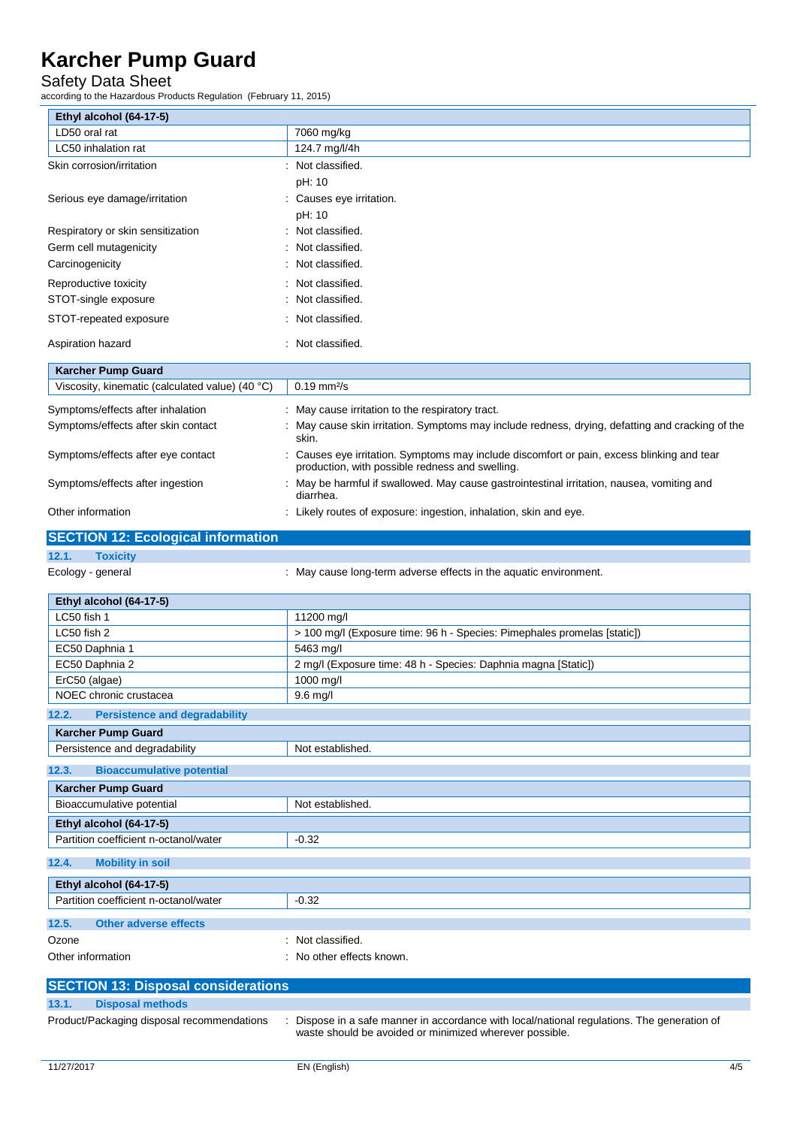## Safety Data Sheet

according to the Hazardous Products Regulation (February 11, 2015)

| Ethyl alcohol (64-17-5)                         |                                                                                                                                                      |
|-------------------------------------------------|------------------------------------------------------------------------------------------------------------------------------------------------------|
| LD50 oral rat                                   | 7060 mg/kg                                                                                                                                           |
| LC50 inhalation rat                             | 124.7 mg/l/4h                                                                                                                                        |
| Skin corrosion/irritation                       | : Not classified.                                                                                                                                    |
|                                                 | pH: 10                                                                                                                                               |
| Serious eye damage/irritation                   | : Causes eye irritation.                                                                                                                             |
|                                                 | pH: 10                                                                                                                                               |
| Respiratory or skin sensitization               | Not classified.                                                                                                                                      |
| Germ cell mutagenicity                          | Not classified.                                                                                                                                      |
| Carcinogenicity                                 | Not classified.                                                                                                                                      |
|                                                 |                                                                                                                                                      |
| Reproductive toxicity                           | Not classified.                                                                                                                                      |
| STOT-single exposure                            | Not classified.                                                                                                                                      |
| STOT-repeated exposure                          | Not classified.                                                                                                                                      |
| Aspiration hazard                               | Not classified.                                                                                                                                      |
|                                                 |                                                                                                                                                      |
| <b>Karcher Pump Guard</b>                       |                                                                                                                                                      |
| Viscosity, kinematic (calculated value) (40 °C) | $0.19 \text{ mm}^2/\text{s}$                                                                                                                         |
| Symptoms/effects after inhalation               | : May cause irritation to the respiratory tract.                                                                                                     |
| Symptoms/effects after skin contact             | May cause skin irritation. Symptoms may include redness, drying, defatting and cracking of the                                                       |
|                                                 | skin.                                                                                                                                                |
| Symptoms/effects after eye contact              | Causes eye irritation. Symptoms may include discomfort or pain, excess blinking and tear                                                             |
|                                                 | production, with possible redness and swelling.                                                                                                      |
| Symptoms/effects after ingestion                | May be harmful if swallowed. May cause gastrointestinal irritation, nausea, vomiting and<br>diarrhea.                                                |
| Other information                               | : Likely routes of exposure: ingestion, inhalation, skin and eye.                                                                                    |
|                                                 |                                                                                                                                                      |
| <b>SECTION 12: Ecological information</b>       |                                                                                                                                                      |
| 12.1.<br><b>Toxicity</b>                        |                                                                                                                                                      |
| Ecology - general                               | : May cause long-term adverse effects in the aquatic environment.                                                                                    |
|                                                 |                                                                                                                                                      |
| Ethyl alcohol (64-17-5)<br>LC50 fish 1          |                                                                                                                                                      |
| LC50 fish 2                                     | 11200 mg/l<br>> 100 mg/l (Exposure time: 96 h - Species: Pimephales promelas [static])                                                               |
| EC50 Daphnia 1                                  | 5463 mg/l                                                                                                                                            |
| EC50 Daphnia 2                                  | 2 mg/l (Exposure time: 48 h - Species: Daphnia magna [Static])                                                                                       |
| ErC50 (algae)                                   | 1000 mg/l                                                                                                                                            |
| NOEC chronic crustacea                          | 9.6 mg/l                                                                                                                                             |
|                                                 |                                                                                                                                                      |
| 12.2.<br><b>Persistence and degradability</b>   |                                                                                                                                                      |
| <b>Karcher Pump Guard</b>                       |                                                                                                                                                      |
| Persistence and degradability                   | Not established.                                                                                                                                     |
| <b>Bioaccumulative potential</b><br>12.3.       |                                                                                                                                                      |
| <b>Karcher Pump Guard</b>                       |                                                                                                                                                      |
| Bioaccumulative potential                       | Not established.                                                                                                                                     |
| Ethyl alcohol (64-17-5)                         |                                                                                                                                                      |
| Partition coefficient n-octanol/water           |                                                                                                                                                      |
|                                                 | $-0.32$                                                                                                                                              |
|                                                 |                                                                                                                                                      |
| 12.4.<br><b>Mobility in soil</b>                |                                                                                                                                                      |
| Ethyl alcohol (64-17-5)                         |                                                                                                                                                      |
| Partition coefficient n-octanol/water           | $-0.32$                                                                                                                                              |
| 12.5.<br><b>Other adverse effects</b>           |                                                                                                                                                      |
| Ozone                                           | Not classified.                                                                                                                                      |
| Other information                               | No other effects known.                                                                                                                              |
|                                                 |                                                                                                                                                      |
| <b>SECTION 13: Disposal considerations</b>      |                                                                                                                                                      |
| 13.1.<br><b>Disposal methods</b>                |                                                                                                                                                      |
| Product/Packaging disposal recommendations      | Dispose in a safe manner in accordance with local/national regulations. The generation of<br>waste should be avoided or minimized wherever possible. |